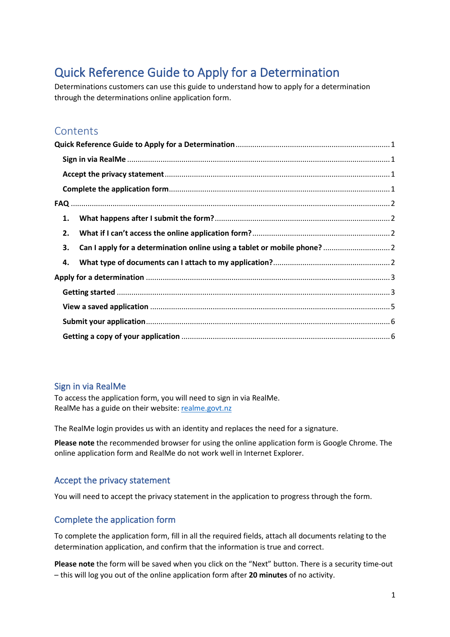# <span id="page-0-0"></span>Quick Reference Guide to Apply for a Determination

Determinations customers can use this guide to understand how to apply for a determination through the determinations online application form.

### **Contents**

| 1. |  |  |  |
|----|--|--|--|
| 2. |  |  |  |
| 3. |  |  |  |
| 4. |  |  |  |
|    |  |  |  |
|    |  |  |  |
|    |  |  |  |
|    |  |  |  |
|    |  |  |  |

### <span id="page-0-1"></span>Sign in via RealMe

To access the application form, you will need to sign in via RealMe. RealMe has a guide on their website: [realme.govt.nz](https://www.realme.govt.nz/)

The RealMe login provides us with an identity and replaces the need for a signature.

**Please note** the recommended browser for using the online application form is Google Chrome. The online application form and RealMe do not work well in Internet Explorer.

### <span id="page-0-2"></span>Accept the privacy statement

You will need to accept the privacy statement in the application to progress through the form.

### <span id="page-0-3"></span>Complete the application form

To complete the application form, fill in all the required fields, attach all documents relating to the determination application, and confirm that the information is true and correct.

**Please note** the form will be saved when you click on the "Next" button. There is a security time-out – this will log you out of the online application form after **20 minutes** of no activity.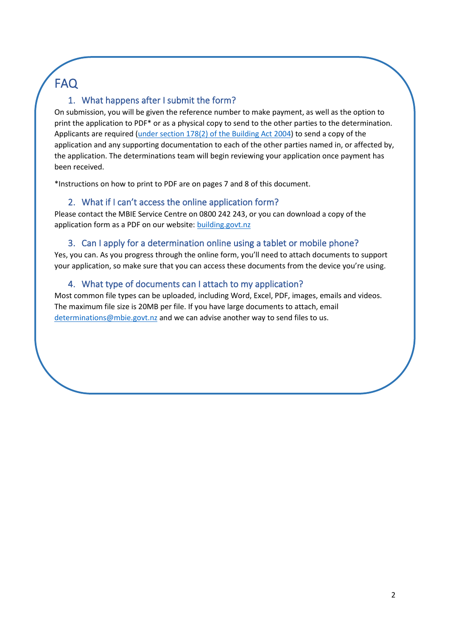# FAQ

### <span id="page-1-0"></span>1. What happens after I submit the form?

On submission, you will be given the reference number to make payment, as well as the option to print the application to PDF\* or as a physical copy to send to the other parties to the determination. Applicants are required [\(under section 178\(2\) of the Building Act 2004\)](https://legislation.govt.nz/act/public/2004/0072/latest/DLM307376.html) to send a copy of the application and any supporting documentation to each of the other parties named in, or affected by, the application. The determinations team will begin reviewing your application once payment has been received.

\*Instructions on how to print to PDF are on pages 7 and 8 of this document.

### 2. What if I can't access the online application form?

<span id="page-1-1"></span>Please contact the MBIE Service Centre on 0800 242 243, or you can download a copy of the application form as a PDF on our website[: building.govt.nz](https://www.building.govt.nz/resolving-problems/resolution-options/determinations/)

### 3. Can I apply for a determination online using a tablet or mobile phone?

<span id="page-1-2"></span>Yes, you can. As you progress through the online form, you'll need to attach documents to support your application, so make sure that you can access these documents from the device you're using.

### 4. What type of documents can I attach to my application?

<span id="page-1-3"></span>Most common file types can be uploaded, including Word, Excel, PDF, images, emails and videos. The maximum file size is 20MB per file. If you have large documents to attach, email [determinations@mbie.govt.nz](mailto:determinations@mbie.govt.nz) and we can advise another way to send files to us.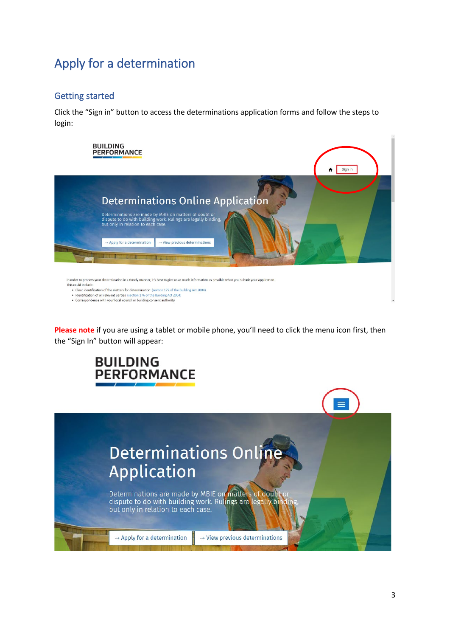# <span id="page-2-0"></span>Apply for a determination

### <span id="page-2-1"></span>Getting started

Click the "Sign in" button to access the determinations application forms and follow the steps to login:



• Identification of all relevant parties (section 176 of the Building Act 2004)

• Correspondence with your local council or building consent authority

**Please note** if you are using a tablet or mobile phone, you'll need to click the menu icon first, then the "Sign In" button will appear:



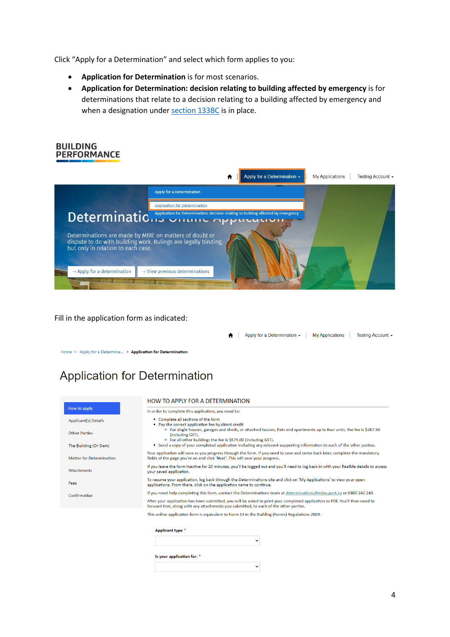Click "Apply for a Determination" and select which form applies to you:

- **Application for Determination** is for most scenarios.
- **Application for Determination: decision relating to building affected by emergency** is for determinations that relate to a decision relating to a building affected by emergency and when a designation under [section 133BC](https://www.legislation.govt.nz/act/public/2004/0072/latest/LMS297695.html) is in place.



Fill in the application form as indicated:

A | Apply for a Determination - | My Applications | Testing Account -

Home > Apply for a Determina... > Application for Determination

## **Application for Determination**

|                                 | HOW TO APPLY FOR A DETERMINATION                                                                                                                                                                                                   |  |  |
|---------------------------------|------------------------------------------------------------------------------------------------------------------------------------------------------------------------------------------------------------------------------------|--|--|
| How to apply                    | In order to complete this application, you need to:                                                                                                                                                                                |  |  |
| <b>Applicant(s) Details</b>     | • Complete all sections of the form<br>• Pay the correct application fee by direct credit                                                                                                                                          |  |  |
| <b>Other Parties</b>            | <sup>o</sup> For single houses, garages and sheds, or attached houses, flats and apartments up to four units, the fee is \$287.50<br>(including GST).<br><sup>o</sup> For all other buildings the fee is \$575.00 (including GST). |  |  |
| The Building (Or Dam)           | • Send a copy of your completed application including any relevant supporting information to each of the other parties.                                                                                                            |  |  |
| <b>Matter for Determination</b> | Your application will save as you progress through the form. If you need to save and come back later, complete the mandatory<br>fields of the page you're on and click 'Next'. This will save your progress.                       |  |  |
| <b>Attachments</b>              | If you leave the form inactive for 20 minutes, you'll be logged out and you'll need to log back in with your RealMe details to access<br>your saved application.                                                                   |  |  |
| Fees                            | To resume your application, log back through the Determinations site and click on 'My Applications' to view your open<br>applications. From there, click on the application name to continue.                                      |  |  |
| Confirmation                    | If you need help completing this form, contact the Determinations team at determinations@mbie.govt.nz or 0800 242 243                                                                                                              |  |  |
|                                 | After your application has been submitted, you will be asked to print your completed application to PDF. You'll then need to<br>forward that, along with any attachments you submitted, to each of the other parties.              |  |  |
|                                 | This online application form is equivalent to Form 14 in the Building (Forms) Regulations 2004.                                                                                                                                    |  |  |
|                                 |                                                                                                                                                                                                                                    |  |  |
|                                 | <b>Applicant type *</b>                                                                                                                                                                                                            |  |  |
|                                 | $\check{ }$                                                                                                                                                                                                                        |  |  |
|                                 |                                                                                                                                                                                                                                    |  |  |

 $\checkmark$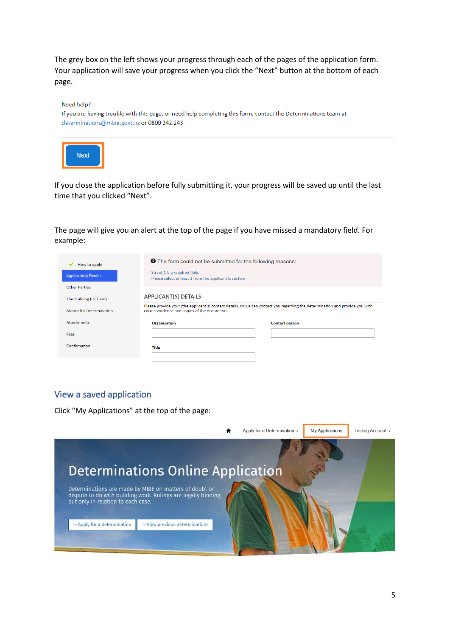The grey box on the left shows your progress through each of the pages of the application form. Your application will save your progress when you click the "Next" button at the bottom of each page.

| Need help?                                                                                                      |  |  |  |  |  |
|-----------------------------------------------------------------------------------------------------------------|--|--|--|--|--|
| If you are having trouble with this page, or need help completing this form, contact the Determinations team at |  |  |  |  |  |
| determinations@mbie.govt.nz or 0800 242 243                                                                     |  |  |  |  |  |
|                                                                                                                 |  |  |  |  |  |
| <b>Next</b>                                                                                                     |  |  |  |  |  |
|                                                                                                                 |  |  |  |  |  |

If you close the application before fully submitting it, your progress will be saved up until the last time that you clicked "Next".

The page will give you an alert at the top of the page if you have missed a mandatory field. For example:

| How to apply<br><b>Applicant(s) Details</b> | Street 1 is a required field.<br>Please select at least 1 from the applicant is section                                                                                      | <b>O</b> The form could not be submitted for the following reasons: |  |
|---------------------------------------------|------------------------------------------------------------------------------------------------------------------------------------------------------------------------------|---------------------------------------------------------------------|--|
| Other Parties                               |                                                                                                                                                                              |                                                                     |  |
| The Building (Or Dam)                       | <b>APPLICANT(S) DETAILS</b>                                                                                                                                                  |                                                                     |  |
| <b>Matter for Determination</b>             | Please provide your (the applicant's) contact details, so we can contact you regarding the determination and provide you with<br>correspondence and copies of the documents. |                                                                     |  |
| <b>Attachments</b>                          | <b>Organisation</b>                                                                                                                                                          | <b>Contact person</b>                                               |  |
| Fees                                        |                                                                                                                                                                              |                                                                     |  |
| Confirmation                                | Title                                                                                                                                                                        |                                                                     |  |
|                                             |                                                                                                                                                                              |                                                                     |  |
|                                             |                                                                                                                                                                              |                                                                     |  |

### <span id="page-4-0"></span>View a saved application

Click "My Applications" at the top of the page:

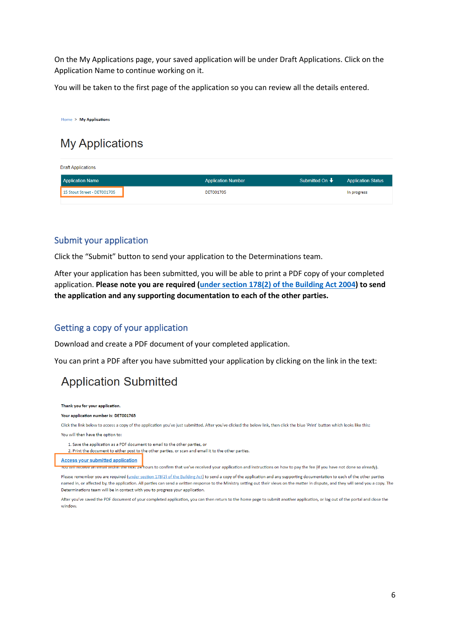On the My Applications page, your saved application will be under Draft Applications. Click on the Application Name to continue working on it.

You will be taken to the first page of the application so you can review all the details entered.

#### Home > My Applications **My Applications Draft Applications Application Status Application Name Application Number** Submitted On ↓ 15 Stout Street - DET001705 **DET001705** In progress

#### <span id="page-5-0"></span>Submit your application

Click the "Submit" button to send your application to the Determinations team.

After your application has been submitted, you will be able to print a PDF copy of your completed application. **Please note you are required [\(under section 178\(2\) of the Building Act 2004\)](https://legislation.govt.nz/act/public/2004/0072/latest/DLM307376.html) to send the application and any supporting documentation to each of the other parties.**

#### <span id="page-5-1"></span>Getting a copy of your application

Download and create a PDF document of your completed application.

You can print a PDF after you have submitted your application by clicking on the link in the text:

### **Application Submitted**

Thank you for your application.

#### Your application number is: DET001765

Click the link below to access a copy of the application you've just submitted. After you've clicked the below link, then click the blue 'Print' button which looks like this:

You will then have the option to:

1. Save the application as a PDF document to email to the other parties, or

2. Print the document to either post to the other parties, or scan and email it to the other parties.

**Access your submitted application** 

<mark>u will receive an email within the next z¤ h</mark>ours to confirm that we've received your application and instructions on how to pay the fee (if you have not done so already).

Please remember you are required (under section 178(2) of the Building Act) to send a copy of the application and any supporting documentation to each of the other parties named in, or affected by, the application. All parties can send a written response to the Ministry setting out their views on the matter in dispute, and they will send you a copy. The Determinations team will be in contact with you to progress your application.

After you've saved the PDF document of your completed application, you can then return to the home page to submit another application, or log out of the portal and close the window.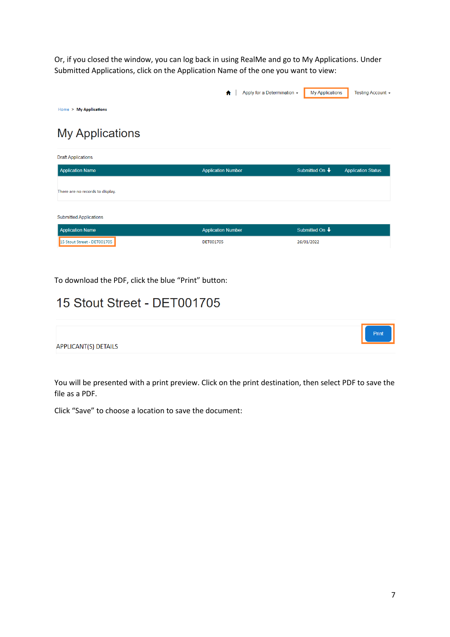Or, if you closed the window, you can log back in using RealMe and go to My Applications. Under Submitted Applications, click on the Application Name of the one you want to view:



**Submitted Applications** 

| <b>Application Name</b>     | <b>Application Number</b> | Submitted On $\bigstar$ |
|-----------------------------|---------------------------|-------------------------|
| 15 Stout Street - DET001705 | DET001705                 | 26/01/2022              |

To download the PDF, click the blue "Print" button:

### 15 Stout Street - DET001705



You will be presented with a print preview. Click on the print destination, then select PDF to save the file as a PDF.

Click "Save" to choose a location to save the document: